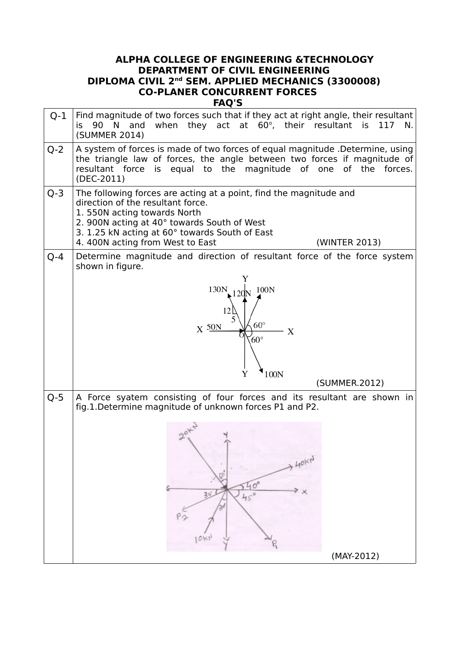## **ALPHA COLLEGE OF ENGINEERING &TECHNOLOGY DEPARTMENT OF CIVIL ENGINEERING DIPLOMA CIVIL 2nd SEM. APPLIED MECHANICS (3300008) CO-PLANER CONCURRENT FORCES FAQ'S**

| $Q-1$   | Find magnitude of two forces such that if they act at right angle, their resultant<br>when they act at 60°, their resultant is<br>is 90 N and<br>117<br>N.<br>(SUMMER 2014)                                                                                                                 |
|---------|---------------------------------------------------------------------------------------------------------------------------------------------------------------------------------------------------------------------------------------------------------------------------------------------|
| $Q - 2$ | A system of forces is made of two forces of equal magnitude .Determine, using<br>the triangle law of forces, the angle between two forces if magnitude of<br>resultant force is equal to the magnitude of one of the forces.<br>(DEC-2011)                                                  |
| $Q - 3$ | The following forces are acting at a point, find the magnitude and<br>direction of the resultant force.<br>1.550N acting towards North<br>2. 900N acting at 40° towards South of West<br>3. 1.25 kN acting at 60° towards South of East<br>4.400N acting from West to East<br>(WINTER 2013) |
| $Q - 4$ | Determine magnitude and direction of resultant force of the force system<br>shown in figure.                                                                                                                                                                                                |
|         | 130N<br>100N<br>$60^{\circ}$<br>$X \frac{50N}{2}$<br>X<br>$60^{\circ}$                                                                                                                                                                                                                      |
|         | 100N<br>Y                                                                                                                                                                                                                                                                                   |
|         | (SUMMER.2012)                                                                                                                                                                                                                                                                               |
| $Q-5$   | A Force syatem consisting of four forces and its resultant are shown in<br>fig.1.Determine magnitude of unknown forces P1 and P2.                                                                                                                                                           |
|         | $2^{0^k}$<br>. HOKN<br>$40^\circ$<br>Y X<br>$30 -$<br>$45^\circ$<br>Po<br>$10$ kr<br>(MAY-2012)                                                                                                                                                                                             |